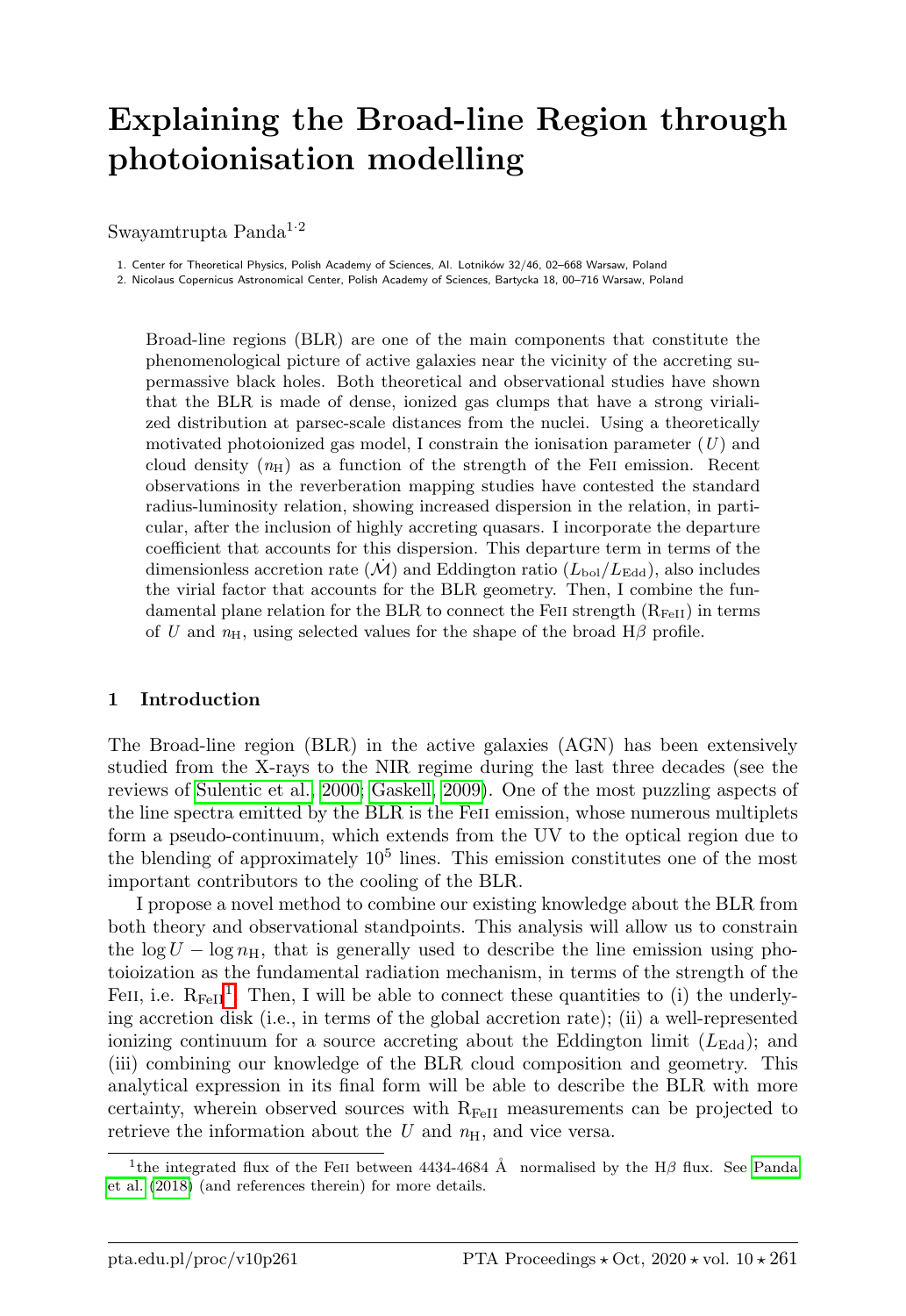# Explaining the Broad-line Region through photoionisation modelling

Swayamtrupta Panda<sup>1·2</sup>

1. Center for Theoretical Physics, Polish Academy of Sciences, Al. Lotników 32/46, 02-668 Warsaw, Poland

2. Nicolaus Copernicus Astronomical Center, Polish Academy of Sciences, Bartycka 18, 00–716 Warsaw, Poland

Broad-line regions (BLR) are one of the main components that constitute the phenomenological picture of active galaxies near the vicinity of the accreting supermassive black holes. Both theoretical and observational studies have shown that the BLR is made of dense, ionized gas clumps that have a strong virialized distribution at parsec-scale distances from the nuclei. Using a theoretically motivated photoionized gas model, I constrain the ionisation parameter  $(U)$  and cloud density  $(n<sub>H</sub>)$  as a function of the strength of the FeII emission. Recent observations in the reverberation mapping studies have contested the standard radius-luminosity relation, showing increased dispersion in the relation, in particular, after the inclusion of highly accreting quasars. I incorporate the departure coefficient that accounts for this dispersion. This departure term in terms of the dimensionless accretion rate  $(\mathcal{M})$  and Eddington ratio  $(L_{\text{bol}}/L_{\text{Edd}})$ , also includes the virial factor that accounts for the BLR geometry. Then, I combine the fundamental plane relation for the BLR to connect the FeII strength  $(R_{FeII})$  in terms of U and  $n_{\rm H}$ , using selected values for the shape of the broad  $H\beta$  profile.

## 1 Introduction

The Broad-line region (BLR) in the active galaxies (AGN) has been extensively studied from the X-rays to the NIR regime during the last three decades (see the reviews of [Sulentic et al., 2000;](#page-5-0) [Gaskell, 2009\)](#page-5-1). One of the most puzzling aspects of the line spectra emitted by the BLR is the Feii emission, whose numerous multiplets form a pseudo-continuum, which extends from the UV to the optical region due to the blending of approximately  $10<sup>5</sup>$  lines. This emission constitutes one of the most important contributors to the cooling of the BLR.

I propose a novel method to combine our existing knowledge about the BLR from both theory and observational standpoints. This analysis will allow us to constrain the log  $U - \log n_H$ , that is generally used to describe the line emission using photoioization as the fundamental radiation mechanism, in terms of the strength of the FeII, i.e.  $R_{FeII}$ <sup>[1](#page-0-0)</sup>. Then, I will be able to connect these quantities to (i) the underlying accretion disk (i.e., in terms of the global accretion rate); (ii) a well-represented ionizing continuum for a source accreting about the Eddington limit  $(L_{\text{Edd}})$ ; and (iii) combining our knowledge of the BLR cloud composition and geometry. This analytical expression in its final form will be able to describe the BLR with more certainty, wherein observed sources with  $R_{FeII}$  measurements can be projected to retrieve the information about the  $U$  and  $n_{\rm H}$ , and vice versa.

<span id="page-0-0"></span><sup>&</sup>lt;sup>1</sup>the integrated flux of the FeII between 4434-4684 Å normalised by the H $\beta$  flux. See [Panda](#page-5-2) [et al.](#page-5-2) [\(2018\)](#page-5-2) (and references therein) for more details.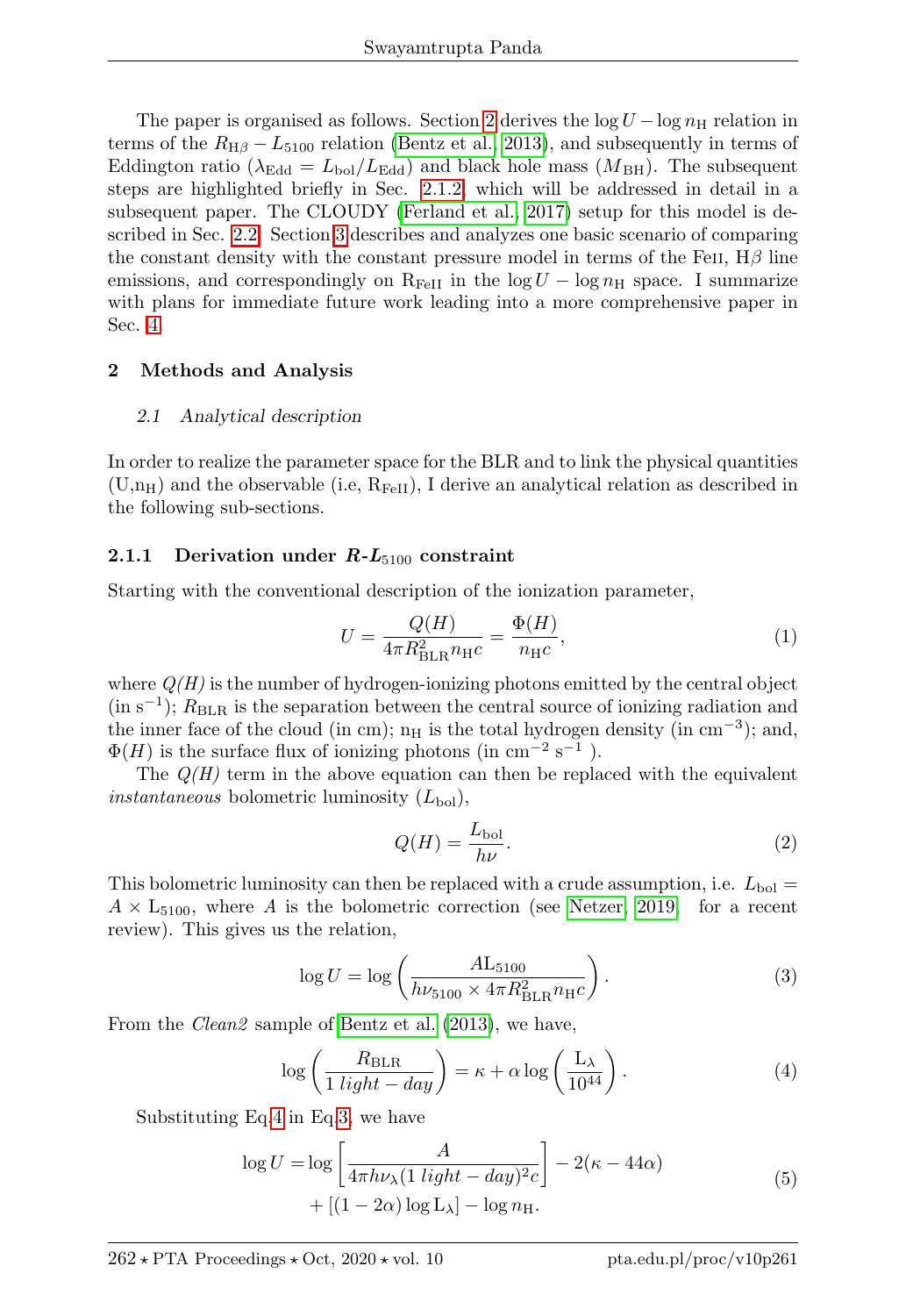The paper is organised as follows. Section [2](#page-1-0) derives the  $\log U - \log n_H$  relation in terms of the  $R_{\text{H}\beta} - L_{5100}$  relation [\(Bentz et al., 2013\)](#page-5-3), and subsequently in terms of Eddington ratio ( $\lambda_{\text{Edd}} = L_{\text{bol}}/L_{\text{Edd}}$ ) and black hole mass ( $M_{\text{BH}}$ ). The subsequent steps are highlighted briefly in Sec. [2.1.2,](#page-2-0) which will be addressed in detail in a subsequent paper. The CLOUDY [\(Ferland et al., 2017\)](#page-5-4) setup for this model is described in Sec. [2.2.](#page-2-1) Section [3](#page-3-0) describes and analyzes one basic scenario of comparing the constant density with the constant pressure model in terms of the FeII,  $H\beta$  line emissions, and correspondingly on  $R_{FeII}$  in the  $log U - log n_H$  space. I summarize with plans for immediate future work leading into a more comprehensive paper in Sec. [4.](#page-3-1)

## <span id="page-1-0"></span>2 Methods and Analysis

## 2.1 Analytical description

In order to realize the parameter space for the BLR and to link the physical quantities  $(U,n_H)$  and the observable (i.e,  $R_{FeII}$ ), I derive an analytical relation as described in the following sub-sections.

## 2.1.1 Derivation under  $R-L_{5100}$  constraint

Starting with the conventional description of the ionization parameter,

$$
U = \frac{Q(H)}{4\pi R_{\text{BLR}}^2 n_{\text{H}C}} = \frac{\Phi(H)}{n_{\text{H}C}},\tag{1}
$$

where  $Q(H)$  is the number of hydrogen-ionizing photons emitted by the central object  $(in s<sup>-1</sup>)$ ;  $R<sub>BLR</sub>$  is the separation between the central source of ionizing radiation and the inner face of the cloud (in cm);  $n_H$  is the total hydrogen density (in cm<sup>-3</sup>); and,  $\Phi(H)$  is the surface flux of ionizing photons (in cm<sup>-2</sup> s<sup>-1</sup>).

The  $Q(H)$  term in the above equation can then be replaced with the equivalent *instantaneous* bolometric luminosity  $(L_{\text{bol}})$ ,

$$
Q(H) = \frac{L_{\text{bol}}}{h\nu}.\tag{2}
$$

This bolometric luminosity can then be replaced with a crude assumption, i.e.  $L_{\text{bol}} =$  $A \times L_{5100}$ , where A is the bolometric correction (see [Netzer, 2019,](#page-5-5) for a recent review). This gives us the relation,

<span id="page-1-2"></span>
$$
\log U = \log \left( \frac{A \mathcal{L}_{5100}}{h \nu_{5100} \times 4 \pi R_{\text{BLR}}^2 n_{\text{H}} c} \right). \tag{3}
$$

From the *Clean2* sample of [Bentz et al.](#page-5-3) [\(2013\)](#page-5-3), we have,

<span id="page-1-1"></span>
$$
\log\left(\frac{R_{\text{BLR}}}{1\text{ light}-day}\right) = \kappa + \alpha \log\left(\frac{L_{\lambda}}{10^{44}}\right). \tag{4}
$$

Substituting Eq[.4](#page-1-1) in Eq[.3,](#page-1-2) we have

$$
\log U = \log \left[ \frac{A}{4\pi h\nu_{\lambda} (1 \text{ light} - day)^2 c} \right] - 2(\kappa - 44\alpha) + [(1 - 2\alpha) \log L_{\lambda}] - \log n_{\text{H}}.
$$
\n(5)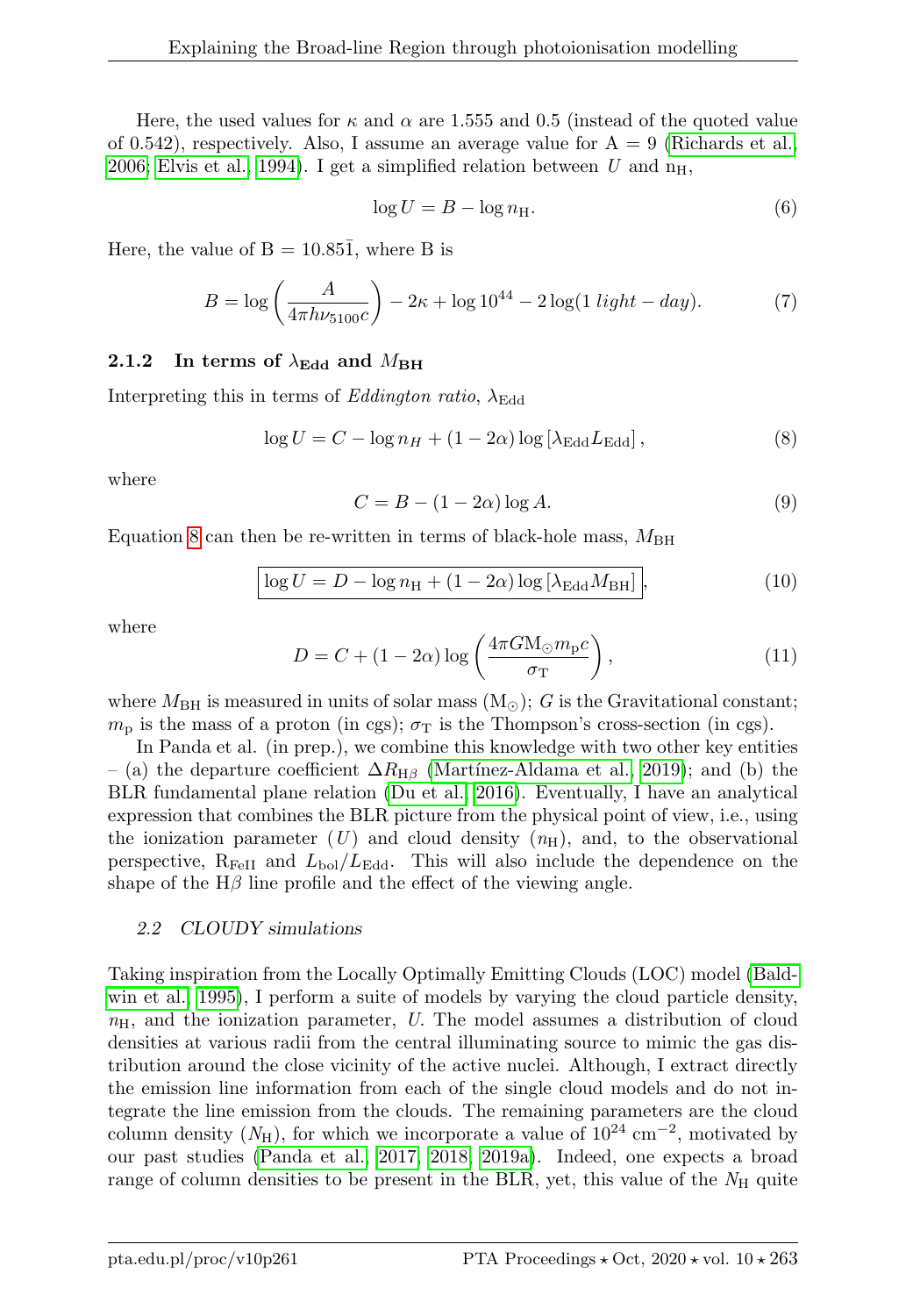Here, the used values for  $\kappa$  and  $\alpha$  are 1.555 and 0.5 (instead of the quoted value of 0.542), respectively. Also, I assume an average value for  $A = 9$  [\(Richards et al.,](#page-5-6) [2006;](#page-5-6) [Elvis et al., 1994\)](#page-5-7). I get a simplified relation between U and  $n_H$ ,

$$
\log U = B - \log n_{\rm H}.\tag{6}
$$

Here, the value of  $B = 10.85\overline{1}$ , where B is

$$
B = \log\left(\frac{A}{4\pi h\nu_{5100}c}\right) - 2\kappa + \log 10^{44} - 2\log(1 \text{ light} - day). \tag{7}
$$

## <span id="page-2-0"></span>2.1.2 In terms of  $\lambda_{\rm Edd}$  and  $M_{\rm BH}$

Interpreting this in terms of Eddington ratio,  $\lambda_{\text{Edd}}$ 

<span id="page-2-2"></span>
$$
\log U = C - \log n_H + (1 - 2\alpha) \log \left[\lambda_{\rm Edd} L_{\rm Edd}\right],\tag{8}
$$

where

$$
C = B - (1 - 2\alpha) \log A.
$$
\n(9)

Equation [8](#page-2-2) can then be re-written in terms of black-hole mass,  $M_{\rm BH}$ 

$$
\log U = D - \log n_{\rm H} + (1 - 2\alpha) \log \left[ \lambda_{\rm Edd} M_{\rm BH} \right],\tag{10}
$$

where

$$
D = C + (1 - 2\alpha) \log \left( \frac{4\pi G M_{\odot} m_{\rm p} c}{\sigma_{\rm T}} \right),\tag{11}
$$

where  $M_{\rm BH}$  is measured in units of solar mass  $(M_{\odot})$ ; G is the Gravitational constant;  $m_{\rm p}$  is the mass of a proton (in cgs);  $\sigma_{\rm T}$  is the Thompson's cross-section (in cgs).

In Panda et al. (in prep.), we combine this knowledge with two other key entities – (a) the departure coefficient  $\Delta R_{\text{H}\beta}$  (Martínez-Aldama et al., 2019); and (b) the BLR fundamental plane relation [\(Du et al., 2016\)](#page-5-9). Eventually, I have an analytical expression that combines the BLR picture from the physical point of view, i.e., using the ionization parameter  $(U)$  and cloud density  $(n<sub>H</sub>)$ , and, to the observational perspective,  $R_{FeII}$  and  $L_{bol}/L_{Edd}$ . This will also include the dependence on the shape of the  $H\beta$  line profile and the effect of the viewing angle.

## <span id="page-2-1"></span>2.2 CLOUDY simulations

Taking inspiration from the Locally Optimally Emitting Clouds (LOC) model [\(Bald](#page-5-10)[win et al., 1995\)](#page-5-10), I perform a suite of models by varying the cloud particle density,  $n_{\rm H}$ , and the ionization parameter, U. The model assumes a distribution of cloud densities at various radii from the central illuminating source to mimic the gas distribution around the close vicinity of the active nuclei. Although, I extract directly the emission line information from each of the single cloud models and do not integrate the line emission from the clouds. The remaining parameters are the cloud column density  $(N_{\rm H})$ , for which we incorporate a value of  $10^{24}$  cm<sup>-2</sup>, motivated by our past studies [\(Panda et al., 2017,](#page-5-11) [2018,](#page-5-2) [2019a\)](#page-5-12). Indeed, one expects a broad range of column densities to be present in the BLR, yet, this value of the  $N_{\rm H}$  quite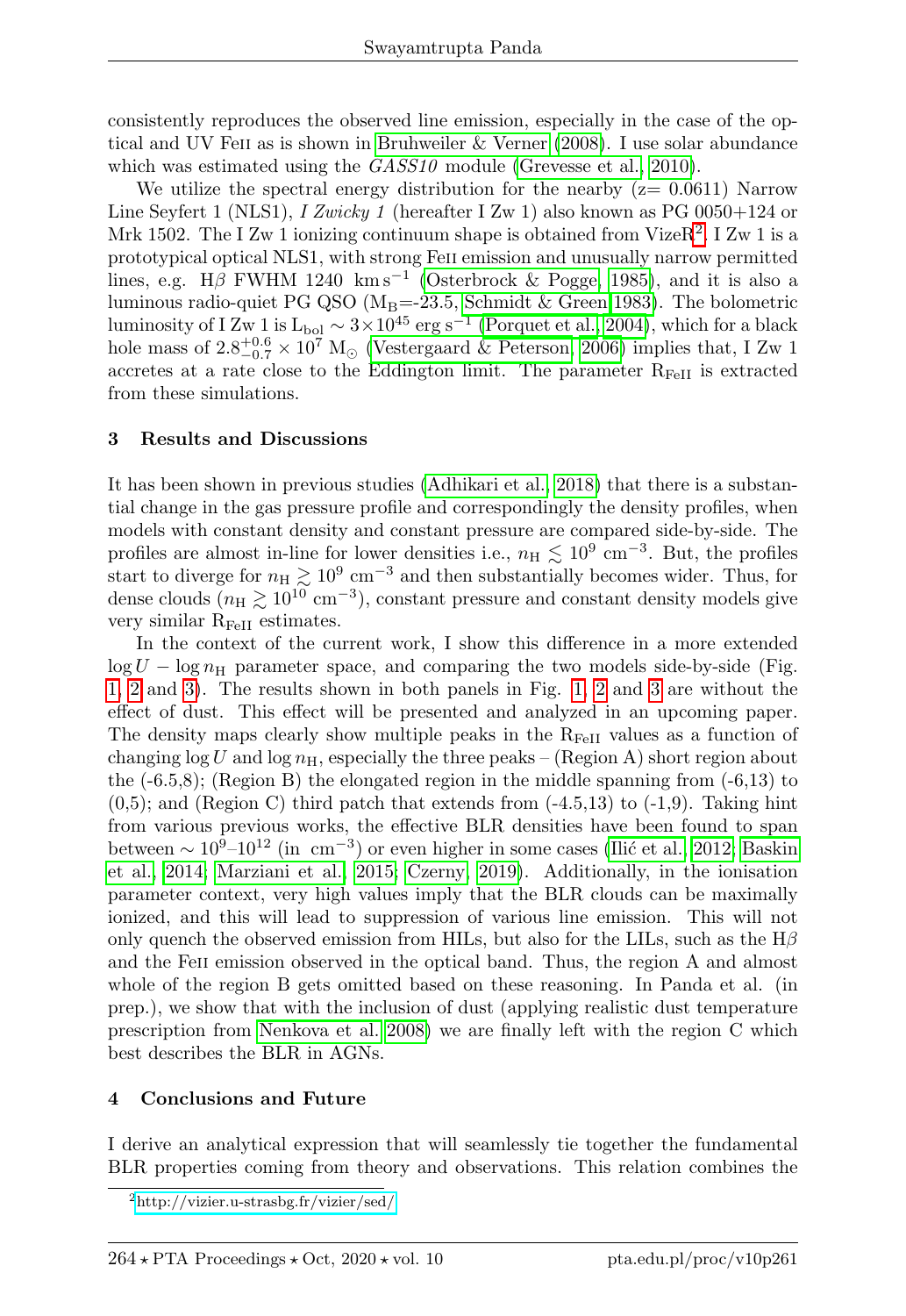consistently reproduces the observed line emission, especially in the case of the optical and UV Feii as is shown in [Bruhweiler & Verner](#page-5-13) [\(2008\)](#page-5-13). I use solar abundance which was estimated using the  $GASS10$  module [\(Grevesse et al., 2010\)](#page-5-14).

We utilize the spectral energy distribution for the nearby  $(z= 0.0611)$  Narrow Line Seyfert 1 (NLS1), I Zwicky 1 (hereafter I Zw 1) also known as PG 0050+124 or Mrk 150[2](#page-3-2). The I Zw 1 ionizing continuum shape is obtained from VizeR<sup>2</sup>. I Zw 1 is a prototypical optical NLS1, with strong Feii emission and unusually narrow permitted lines, e.g. H $\beta$  FWHM 1240 km s<sup>-1</sup> [\(Osterbrock & Pogge, 1985\)](#page-5-15), and it is also a luminous radio-quiet PG QSO ( $M_B$ =-23.5, [Schmidt & Green 1983\)](#page-5-16). The bolometric luminosity of I Zw 1 is L<sub>bol</sub>  $\sim 3 \times 10^{45}$  erg s<sup>-1</sup> [\(Porquet et al., 2004\)](#page-5-17), which for a black hole mass of  $2.8^{+0.6}_{-0.7} \times 10^7$  M<sub> $\odot$ </sub> [\(Vestergaard & Peterson, 2006\)](#page-5-18) implies that, I Zw 1 accretes at a rate close to the Eddington limit. The parameter  $R_{FeII}$  is extracted from these simulations.

## <span id="page-3-0"></span>3 Results and Discussions

It has been shown in previous studies [\(Adhikari et al., 2018\)](#page-5-19) that there is a substantial change in the gas pressure profile and correspondingly the density profiles, when models with constant density and constant pressure are compared side-by-side. The profiles are almost in-line for lower densities i.e.,  $n_{\rm H} \lesssim 10^9$  cm<sup>-3</sup>. But, the profiles start to diverge for  $n_H \gtrsim 10^9$  cm<sup>-3</sup> and then substantially becomes wider. Thus, for dense clouds  $(n_{\rm H} \gtrsim 10^{10} \text{ cm}^{-3})$ , constant pressure and constant density models give very similar  $R_{FeII}$  estimates.

In the context of the current work, I show this difference in a more extended  $\log U - \log n_{\rm H}$  parameter space, and comparing the two models side-by-side (Fig. [1,](#page-4-0) [2](#page-4-1) and [3\)](#page-4-2). The results shown in both panels in Fig. [1,](#page-4-0) [2](#page-4-1) and [3](#page-4-2) are without the effect of dust. This effect will be presented and analyzed in an upcoming paper. The density maps clearly show multiple peaks in the  $R_{\text{FeII}}$  values as a function of changing  $\log U$  and  $\log n_{\rm H}$ , especially the three peaks – (Region A) short region about the  $(-6.5,8)$ ; (Region B) the elongated region in the middle spanning from  $(-6.13)$  to  $(0,5)$ ; and (Region C) third patch that extends from  $(-4.5,13)$  to  $(-1,9)$ . Taking hint from various previous works, the effective BLR densities have been found to span between  $\sim 10^{9}$ – $10^{12}$  (in cm<sup>-3</sup>) or even higher in some cases (Ilić et al., 2012; [Baskin](#page-5-21) [et al., 2014;](#page-5-21) [Marziani et al., 2015;](#page-5-22) [Czerny, 2019\)](#page-5-23). Additionally, in the ionisation parameter context, very high values imply that the BLR clouds can be maximally ionized, and this will lead to suppression of various line emission. This will not only quench the observed emission from HILs, but also for the LILs, such as the  $H\beta$ and the Feii emission observed in the optical band. Thus, the region A and almost whole of the region B gets omitted based on these reasoning. In Panda et al. (in prep.), we show that with the inclusion of dust (applying realistic dust temperature prescription from [Nenkova et al. 2008\)](#page-5-24) we are finally left with the region C which best describes the BLR in AGNs.

## <span id="page-3-1"></span>4 Conclusions and Future

I derive an analytical expression that will seamlessly tie together the fundamental BLR properties coming from theory and observations. This relation combines the

<span id="page-3-2"></span><sup>2</sup><http://vizier.u-strasbg.fr/vizier/sed/>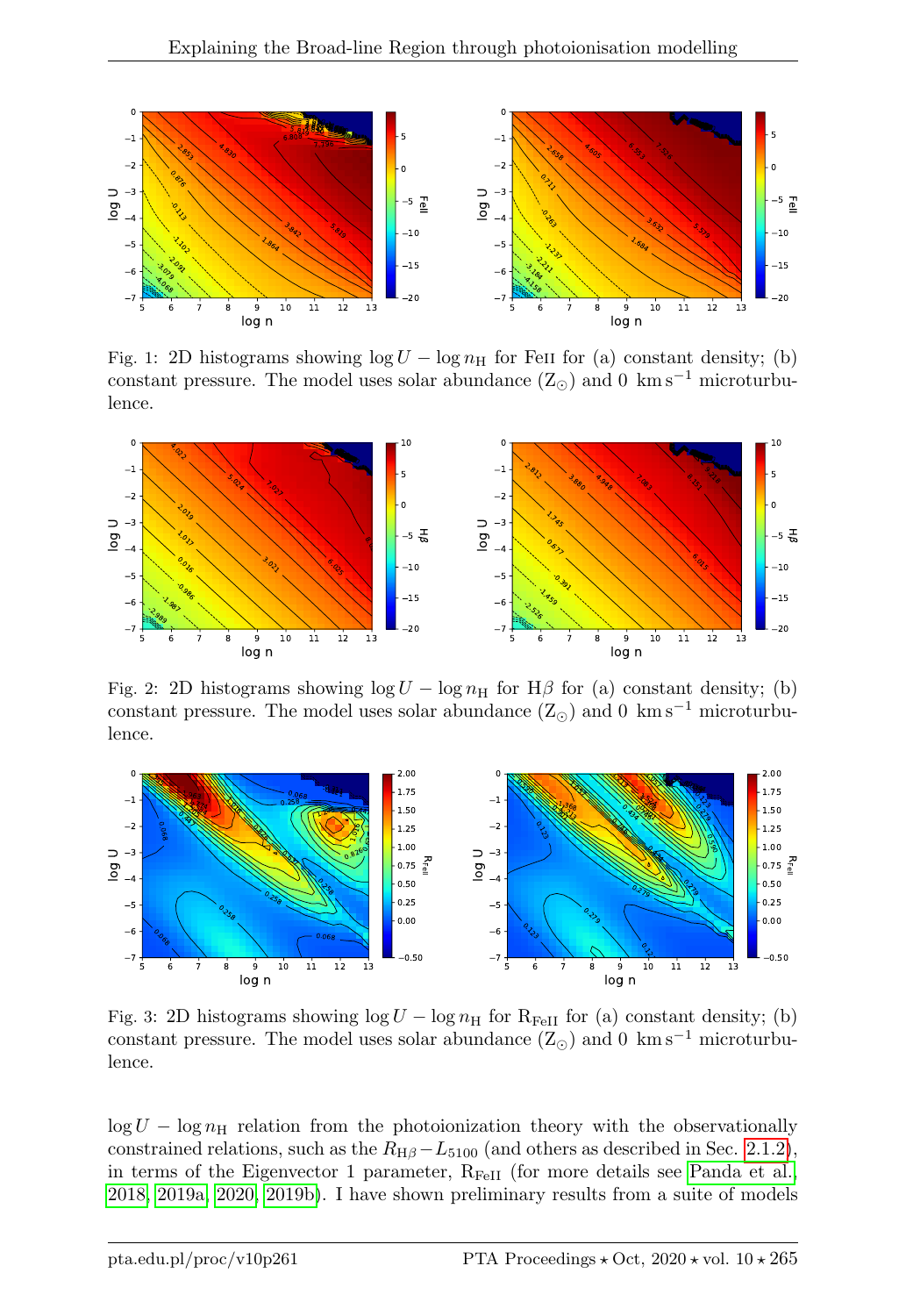<span id="page-4-0"></span>

Fig. 1: 2D histograms showing  $\log U - \log n_H$  for FeII for (a) constant density; (b) constant pressure. The model uses solar abundance  $(Z_{\odot})$  and 0 km s<sup>-1</sup> microturbulence.

<span id="page-4-1"></span>

Fig. 2: 2D histograms showing  $\log U - \log n_H$  for H $\beta$  for (a) constant density; (b) constant pressure. The model uses solar abundance  $(Z_{\odot})$  and 0 km s<sup>-1</sup> microturbulence.

<span id="page-4-2"></span>

Fig. 3: 2D histograms showing  $\log U - \log n_H$  for R<sub>FeII</sub> for (a) constant density; (b) constant pressure. The model uses solar abundance  $(Z_{\odot})$  and 0 km s<sup>-1</sup> microturbulence.

 $\log U - \log n_H$  relation from the photoionization theory with the observationally constrained relations, such as the  $R_{\text{H}\beta}-L_{5100}$  (and others as described in Sec. [2.1.2\)](#page-2-0), in terms of the Eigenvector 1 parameter,  $R_{FeII}$  (for more details see [Panda et al.,](#page-5-2) [2018,](#page-5-2) [2019a,](#page-5-12) [2020,](#page-5-25) [2019b\)](#page-5-26). I have shown preliminary results from a suite of models